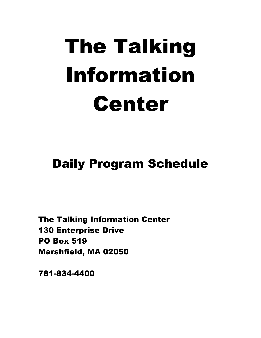## The Talking Information Center

## Daily Program Schedule

The Talking Information Center 130 Enterprise Drive PO Box 519 Marshfield, MA 02050

781-834-4400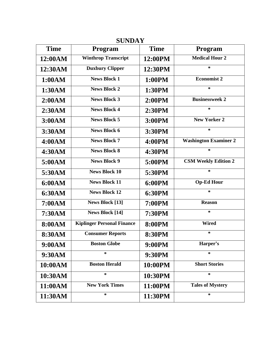| <b>SUNDAY</b> |                                   |               |                              |
|---------------|-----------------------------------|---------------|------------------------------|
| <b>Time</b>   | Program                           | <b>Time</b>   | <b>Program</b>               |
| 12:00AM       | <b>Winthrop Transcript</b>        | 12:00PM       | <b>Medical Hour 2</b>        |
| 12:30AM       | <b>Duxbury Clipper</b>            | 12:30PM       | $\ast$                       |
| 1:00AM        | <b>News Block 1</b>               | 1:00PM        | <b>Economist 2</b>           |
| 1:30AM        | <b>News Block 2</b>               | 1:30PM        | $\ast$                       |
| 2:00AM        | <b>News Block 3</b>               | 2:00PM        | <b>Businessweek 2</b>        |
| 2:30AM        | <b>News Block 4</b>               | 2:30PM        | $\ast$                       |
| 3:00AM        | <b>News Block 5</b>               | 3:00PM        | <b>New Yorker 2</b>          |
| 3:30AM        | <b>News Block 6</b>               | 3:30PM        | $\ast$                       |
| 4:00AM        | <b>News Block 7</b>               | 4:00PM        | <b>Washington Examiner 2</b> |
| 4:30AM        | <b>News Block 8</b>               | 4:30PM        | $\ast$                       |
| 5:00AM        | <b>News Block 9</b>               | 5:00PM        | <b>CSM Weekly Edition 2</b>  |
| 5:30AM        | <b>News Block 10</b>              | 5:30PM        | $\ast$                       |
| 6:00AM        | <b>News Block 11</b>              | 6:00PM        | <b>Op-Ed Hour</b>            |
| 6:30AM        | <b>News Block 12</b>              | <b>6:30PM</b> | $\ast$                       |
| 7:00AM        | <b>News Block [13]</b>            | 7:00PM        | <b>Reason</b>                |
| 7:30AM        | <b>News Block [14]</b>            | 7:30PM        | $\ast$                       |
| 8:00AM        | <b>Kiplinger Personal Finance</b> | <b>8:00PM</b> | <b>Wired</b>                 |
| 8:30AM        | <b>Consumer Reports</b>           | 8:30PM        | $\ast$                       |
| 9:00AM        | <b>Boston Globe</b>               | 9:00PM        | Harper's                     |
| 9:30AM        | *                                 | 9:30PM        | *                            |
| 10:00AM       | <b>Boston Herald</b>              | 10:00PM       | <b>Short Stories</b>         |
| 10:30AM       | *                                 | 10:30PM       | $\ast$                       |
| 11:00AM       | <b>New York Times</b>             | 11:00PM       | <b>Tales of Mystery</b>      |
| 11:30AM       | *                                 | 11:30PM       | $\ast$                       |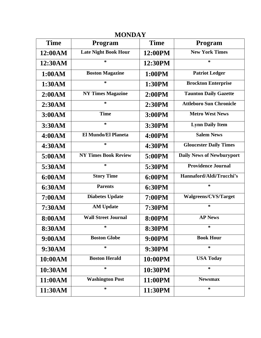| <b>MONDAY</b> |                             |               |                                  |
|---------------|-----------------------------|---------------|----------------------------------|
| <b>Time</b>   | <b>Program</b>              | <b>Time</b>   | <b>Program</b>                   |
| 12:00AM       | <b>Late Night Book Hour</b> | 12:00PM       | <b>New York Times</b>            |
| 12:30AM       | $\ast$                      | 12:30PM       | $\ast$                           |
| 1:00AM        | <b>Boston Magazine</b>      | 1:00PM        | <b>Patriot Ledger</b>            |
| 1:30AM        | $\ast$                      | 1:30PM        | <b>Brockton Enterprise</b>       |
| 2:00AM        | <b>NY Times Magazine</b>    | 2:00PM        | <b>Taunton Daily Gazette</b>     |
| 2:30AM        | $\ast$                      | 2:30PM        | <b>Attleboro Sun Chronicle</b>   |
| 3:00AM        | <b>Time</b>                 | 3:00PM        | <b>Metro West News</b>           |
| 3:30AM        | $\ast$                      | 3:30PM        | <b>Lynn Daily Item</b>           |
| 4:00AM        | <b>El Mundo/El Planeta</b>  | 4:00PM        | <b>Salem News</b>                |
| 4:30AM        | $\ast$                      | 4:30PM        | <b>Gloucester Daily Times</b>    |
| 5:00AM        | <b>NY Times Book Review</b> | 5:00PM        | <b>Daily News of Newburyport</b> |
| 5:30AM        | $\ast$                      | 5:30PM        | <b>Providence Journal</b>        |
| 6:00AM        | <b>Story Time</b>           | 6:00PM        | Hannaford/Aldi/Trucchi's         |
| 6:30AM        | <b>Parents</b>              | 6:30PM        | $\ast$                           |
| 7:00AM        | <b>Diabetes Update</b>      | 7:00PM        | <b>Walgreens/CVS/Target</b>      |
| 7:30AM        | <b>AM Update</b>            | 7:30PM        | $\ast$                           |
| 8:00AM        | <b>Wall Street Journal</b>  | <b>8:00PM</b> | <b>AP News</b>                   |
| 8:30AM        | *                           | <b>8:30PM</b> | *                                |
| 9:00AM        | <b>Boston Globe</b>         | 9:00PM        | <b>Book Hour</b>                 |
| 9:30AM        | ∗                           | 9:30PM        | ∗                                |
| 10:00AM       | <b>Boston Herald</b>        | 10:00PM       | <b>USA Today</b>                 |
| 10:30AM       | *                           | 10:30PM       | *                                |
| 11:00AM       | <b>Washington Post</b>      | 11:00PM       | <b>Newsmax</b>                   |
| 11:30AM       | ∗                           | 11:30PM       | ∗                                |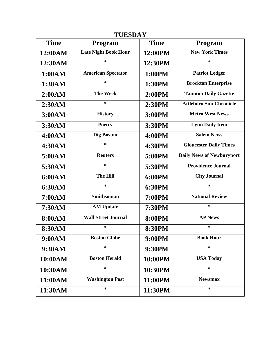| <b>TUESDAY</b> |                             |               |                                  |
|----------------|-----------------------------|---------------|----------------------------------|
| <b>Time</b>    | <b>Program</b>              | <b>Time</b>   | <b>Program</b>                   |
| 12:00AM        | <b>Late Night Book Hour</b> | 12:00PM       | <b>New York Times</b>            |
| 12:30AM        | $\ast$                      | 12:30PM       | $\ast$                           |
| 1:00AM         | <b>American Spectator</b>   | 1:00PM        | <b>Patriot Ledger</b>            |
| 1:30AM         | $\ast$                      | 1:30PM        | <b>Brockton Enterprise</b>       |
| 2:00AM         | <b>The Week</b>             | 2:00PM        | <b>Taunton Daily Gazette</b>     |
| 2:30AM         | $\ast$                      | 2:30PM        | <b>Attleboro Sun Chronicle</b>   |
| 3:00AM         | <b>History</b>              | 3:00PM        | <b>Metro West News</b>           |
| 3:30AM         | <b>Poetry</b>               | 3:30PM        | <b>Lynn Daily Item</b>           |
| 4:00AM         | <b>Dig Boston</b>           | 4:00PM        | <b>Salem News</b>                |
| 4:30AM         | $\ast$                      | 4:30PM        | <b>Gloucester Daily Times</b>    |
| 5:00AM         | <b>Reuters</b>              | 5:00PM        | <b>Daily News of Newburyport</b> |
| 5:30AM         | $\ast$                      | 5:30PM        | <b>Providence Journal</b>        |
| 6:00AM         | <b>The Hill</b>             | 6:00PM        | <b>City Journal</b>              |
| 6:30AM         | $\ast$                      | 6:30PM        | *                                |
| 7:00AM         | <b>Smithsonian</b>          | <b>7:00PM</b> | <b>National Review</b>           |
| 7:30AM         | <b>AM Update</b>            | 7:30PM        | $\ast$                           |
| 8:00AM         | <b>Wall Street Journal</b>  | <b>8:00PM</b> | <b>AP News</b>                   |
| 8:30AM         | *                           | <b>8:30PM</b> | *                                |
| 9:00AM         | <b>Boston Globe</b>         | 9:00PM        | <b>Book Hour</b>                 |
| 9:30AM         | ∗                           | 9:30PM        | *                                |
| 10:00AM        | <b>Boston Herald</b>        | 10:00PM       | <b>USA Today</b>                 |
| 10:30AM        | *                           | 10:30PM       | $\ast$                           |
| 11:00AM        | <b>Washington Post</b>      | 11:00PM       | <b>Newsmax</b>                   |
| 11:30AM        | ∗                           | 11:30PM       | ∗                                |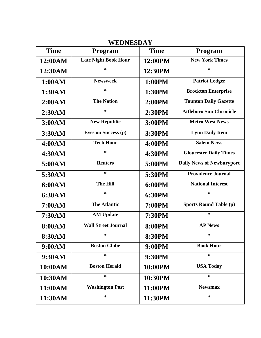| <b>Time</b> | Program                     | <b>Time</b>   | Program                        |
|-------------|-----------------------------|---------------|--------------------------------|
| 12:00AM     | <b>Late Night Book Hour</b> | 12:00PM       | <b>New York Times</b>          |
| 12:30AM     | *                           | 12:30PM       | *                              |
| 1:00AM      | <b>Newsweek</b>             | 1:00PM        | <b>Patriot Ledger</b>          |
| 1:30AM      | *                           | 1:30PM        | <b>Brockton Enterprise</b>     |
| 2:00AM      | <b>The Nation</b>           | 2:00PM        | <b>Taunton Daily Gazette</b>   |
| 2:30AM      | *                           | 2:30PM        | <b>Attleboro Sun Chronicle</b> |
| 3:00AM      | <b>New Republic</b>         | 3:00PM        | <b>Metro West News</b>         |
| 3:30AM      | <b>Eyes on Success (p)</b>  | 3:30PM        | <b>Lynn Daily Item</b>         |
| 4:00AM      | <b>Tech Hour</b>            | 4:00PM        | <b>Salem News</b>              |
| 4:30AM      | *                           | 4:30PM        | <b>Gloucester Daily Times</b>  |
| 5:00AM      | <b>Reuters</b>              | 5:00PM        | Daily News of Newburyport      |
| 5:30AM      | $\ast$                      | 5:30PM        | <b>Providence Journal</b>      |
| 6:00AM      | The Hill                    | 6:00PM        | <b>National Interest</b>       |
| 6:30AM      | $\ast$                      | <b>6:30PM</b> | $\ast$                         |
| 7:00AM      | <b>The Atlantic</b>         | 7:00PM        | <b>Sports Round Table (p)</b>  |
| 7:30AM      | <b>AM Update</b>            | 7:30PM        | $\ast$                         |
| 8:00AM      | <b>Wall Street Journal</b>  | <b>8:00PM</b> | <b>AP News</b>                 |
| 8:30AM      | ∗                           | 8:30PM        | ∗                              |
| 9:00AM      | <b>Boston Globe</b>         | 9:00PM        | <b>Book Hour</b>               |
| 9:30AM      | *                           | 9:30PM        | $\ast$                         |
| 10:00AM     | <b>Boston Herald</b>        | 10:00PM       | <b>USA Today</b>               |
| 10:30AM     | ∗                           | 10:30PM       | $\ast$                         |
| 11:00AM     | <b>Washington Post</b>      | 11:00PM       | <b>Newsmax</b>                 |
| 11:30AM     | ∗                           | 11:30PM       | $\ast$                         |

## **WEDNESDAY**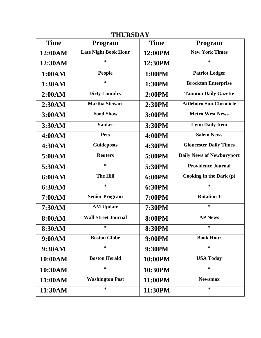| <b>THURSDAY</b> |                             |               |                                  |
|-----------------|-----------------------------|---------------|----------------------------------|
| <b>Time</b>     | <b>Program</b>              | <b>Time</b>   | <b>Program</b>                   |
| 12:00AM         | <b>Late Night Book Hour</b> | 12:00PM       | <b>New York Times</b>            |
| 12:30AM         | $\ast$                      | 12:30PM       | $\ast$                           |
| 1:00AM          | <b>People</b>               | 1:00PM        | <b>Patriot Ledger</b>            |
| 1:30AM          | $\ast$                      | 1:30PM        | <b>Brockton Enterprise</b>       |
| 2:00AM          | <b>Dirty Laundry</b>        | 2:00PM        | <b>Taunton Daily Gazette</b>     |
| 2:30AM          | <b>Martha Stewart</b>       | 2:30PM        | <b>Attleboro Sun Chronicle</b>   |
| 3:00AM          | <b>Food Show</b>            | 3:00PM        | <b>Metro West News</b>           |
| 3:30AM          | Yankee                      | 3:30PM        | <b>Lynn Daily Item</b>           |
| 4:00AM          | <b>Pets</b>                 | 4:00PM        | <b>Salem News</b>                |
| 4:30AM          | <b>Guideposts</b>           | 4:30PM        | <b>Gloucester Daily Times</b>    |
| 5:00AM          | <b>Reuters</b>              | 5:00PM        | <b>Daily News of Newburyport</b> |
| 5:30AM          | $\ast$                      | 5:30PM        | <b>Providence Journal</b>        |
| 6:00AM          | <b>The Hill</b>             | 6:00PM        | Cooking in the Dark (p)          |
| 6:30AM          | $\ast$                      | 6:30PM        | $\ast$                           |
| 7:00AM          | <b>Senior Program</b>       | <b>7:00PM</b> | <b>Rotation 1</b>                |
| 7:30AM          | <b>AM Update</b>            | 7:30PM        | $\ast$                           |
| <b>8:00AM</b>   | <b>Wall Street Journal</b>  | <b>8:00PM</b> | <b>AP News</b>                   |
| 8:30AM          | *                           | <b>8:30PM</b> | *                                |
| 9:00AM          | <b>Boston Globe</b>         | 9:00PM        | <b>Book Hour</b>                 |
| 9:30AM          | ∗                           | 9:30PM        | *                                |
| 10:00AM         | <b>Boston Herald</b>        | 10:00PM       | <b>USA Today</b>                 |
| 10:30AM         | *                           | 10:30PM       | $\ast$                           |
| 11:00AM         | <b>Washington Post</b>      | 11:00PM       | <b>Newsmax</b>                   |
| 11:30AM         | ∗                           | 11:30PM       | ∗                                |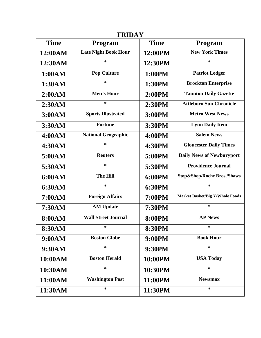| <b>FRIDAY</b> |                             |               |                                        |
|---------------|-----------------------------|---------------|----------------------------------------|
| <b>Time</b>   | Program                     | <b>Time</b>   | Program                                |
| 12:00AM       | <b>Late Night Book Hour</b> | 12:00PM       | <b>New York Times</b>                  |
| 12:30AM       | $\ast$                      | 12:30PM       | $\ast$                                 |
| 1:00AM        | <b>Pop Culture</b>          | 1:00PM        | <b>Patriot Ledger</b>                  |
| 1:30AM        | $\ast$                      | 1:30PM        | <b>Brockton Enterprise</b>             |
| 2:00AM        | Men's Hour                  | 2:00PM        | <b>Taunton Daily Gazette</b>           |
| 2:30AM        | $\ast$                      | 2:30PM        | <b>Attleboro Sun Chronicle</b>         |
| 3:00AM        | <b>Sports Illustrated</b>   | 3:00PM        | <b>Metro West News</b>                 |
| 3:30AM        | <b>Fortune</b>              | 3:30PM        | <b>Lynn Daily Item</b>                 |
| 4:00AM        | <b>National Geographic</b>  | 4:00PM        | <b>Salem News</b>                      |
| 4:30AM        | $\ast$                      | 4:30PM        | <b>Gloucester Daily Times</b>          |
| 5:00AM        | <b>Reuters</b>              | 5:00PM        | <b>Daily News of Newburyport</b>       |
| 5:30AM        | $\ast$                      | 5:30PM        | <b>Providence Journal</b>              |
| 6:00AM        | <b>The Hill</b>             | 6:00PM        | Stop&Shop/Roche Bros./Shaws            |
| 6:30AM        | $\ast$                      | 6:30PM        | $\ast$                                 |
| 7:00AM        | <b>Foreign Affairs</b>      | <b>7:00PM</b> | <b>Market Basket/Big Y/Whole Foods</b> |
| 7:30AM        | <b>AM Update</b>            | 7:30PM        | $\ast$                                 |
| <b>8:00AM</b> | <b>Wall Street Journal</b>  | <b>8:00PM</b> | <b>AP News</b>                         |
| 8:30AM        | *                           | <b>8:30PM</b> | *                                      |
| 9:00AM        | <b>Boston Globe</b>         | 9:00PM        | <b>Book Hour</b>                       |
| 9:30AM        | ∗                           | 9:30PM        | *                                      |
| 10:00AM       | <b>Boston Herald</b>        | 10:00PM       | <b>USA Today</b>                       |
| 10:30AM       | *                           | 10:30PM       | *                                      |
| 11:00AM       | <b>Washington Post</b>      | 11:00PM       | <b>Newsmax</b>                         |
| 11:30AM       | ∗                           | 11:30PM       | ∗                                      |